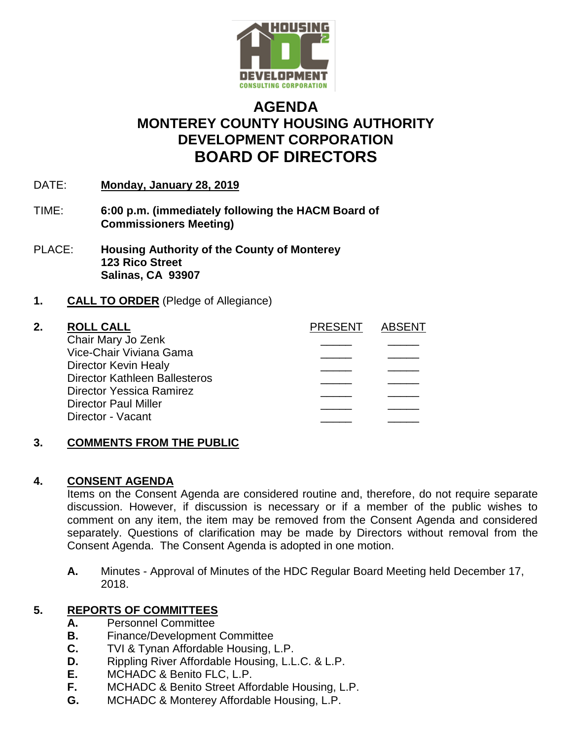

# **AGENDA MONTEREY COUNTY HOUSING AUTHORITY DEVELOPMENT CORPORATION BOARD OF DIRECTORS**

- DATE: **Monday, January 28, 2019**
- TIME: **6:00 p.m. (immediately following the HACM Board of Commissioners Meeting)**
- PLACE: **Housing Authority of the County of Monterey 123 Rico Street Salinas, CA 93907**
- **1. CALL TO ORDER** (Pledge of Allegiance)

| 2. | <b>ROLL CALL</b>                     | <b>PRESENT</b> | ARSENT |
|----|--------------------------------------|----------------|--------|
|    | Chair Mary Jo Zenk                   |                |        |
|    | Vice-Chair Viviana Gama              |                |        |
|    | Director Kevin Healy                 |                |        |
|    | <b>Director Kathleen Ballesteros</b> |                |        |
|    | <b>Director Yessica Ramirez</b>      |                |        |
|    | <b>Director Paul Miller</b>          |                |        |
|    | Director - Vacant                    |                |        |
|    |                                      |                |        |

## **3. COMMENTS FROM THE PUBLIC**

## **4. CONSENT AGENDA**

Items on the Consent Agenda are considered routine and, therefore, do not require separate discussion. However, if discussion is necessary or if a member of the public wishes to comment on any item, the item may be removed from the Consent Agenda and considered separately. Questions of clarification may be made by Directors without removal from the Consent Agenda. The Consent Agenda is adopted in one motion.

**A.** Minutes - Approval of Minutes of the HDC Regular Board Meeting held December 17, 2018.

## **5. REPORTS OF COMMITTEES**

- **A.** Personnel Committee
- **B.** Finance/Development Committee
- **C.** TVI & Tynan Affordable Housing, L.P.
- **D.** Rippling River Affordable Housing, L.L.C. & L.P.
- **E.** MCHADC & Benito FLC, L.P.
- **F.** MCHADC & Benito Street Affordable Housing, L.P.
- **G.** MCHADC & Monterey Affordable Housing, L.P.